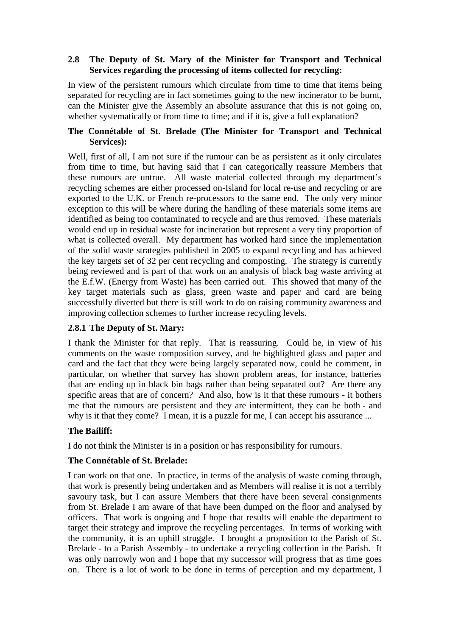#### **2.8 The Deputy of St. Mary of the Minister for Transport and Technical Services regarding the processing of items collected for recycling:**

In view of the persistent rumours which circulate from time to time that items being separated for recycling are in fact sometimes going to the new incinerator to be burnt, can the Minister give the Assembly an absolute assurance that this is not going on, whether systematically or from time to time; and if it is, give a full explanation?

## **The Connétable of St. Brelade (The Minister for Transport and Technical Services):**

Well, first of all, I am not sure if the rumour can be as persistent as it only circulates from time to time, but having said that I can categorically reassure Members that these rumours are untrue. All waste material collected through my department's recycling schemes are either processed on-Island for local re-use and recycling or are exported to the U.K. or French re-processors to the same end. The only very minor exception to this will be where during the handling of these materials some items are identified as being too contaminated to recycle and are thus removed. These materials would end up in residual waste for incineration but represent a very tiny proportion of what is collected overall. My department has worked hard since the implementation of the solid waste strategies published in 2005 to expand recycling and has achieved the key targets set of 32 per cent recycling and composting. The strategy is currently being reviewed and is part of that work on an analysis of black bag waste arriving at the E.f.W. (Energy from Waste) has been carried out. This showed that many of the key target materials such as glass, green waste and paper and card are being successfully diverted but there is still work to do on raising community awareness and improving collection schemes to further increase recycling levels.

## **2.8.1 The Deputy of St. Mary:**

I thank the Minister for that reply. That is reassuring. Could he, in view of his comments on the waste composition survey, and he highlighted glass and paper and card and the fact that they were being largely separated now, could he comment, in particular, on whether that survey has shown problem areas, for instance, batteries that are ending up in black bin bags rather than being separated out? Are there any specific areas that are of concern? And also, how is it that these rumours - it bothers me that the rumours are persistent and they are intermittent, they can be both - and why is it that they come? I mean, it is a puzzle for me, I can accept his assurance ...

## **The Bailiff:**

I do not think the Minister is in a position or has responsibility for rumours.

## **The Connétable of St. Brelade:**

I can work on that one. In practice, in terms of the analysis of waste coming through, that work is presently being undertaken and as Members will realise it is not a terribly savoury task, but I can assure Members that there have been several consignments from St. Brelade I am aware of that have been dumped on the floor and analysed by officers. That work is ongoing and I hope that results will enable the department to target their strategy and improve the recycling percentages. In terms of working with the community, it is an uphill struggle. I brought a proposition to the Parish of St. Brelade - to a Parish Assembly - to undertake a recycling collection in the Parish. It was only narrowly won and I hope that my successor will progress that as time goes on. There is a lot of work to be done in terms of perception and my department, I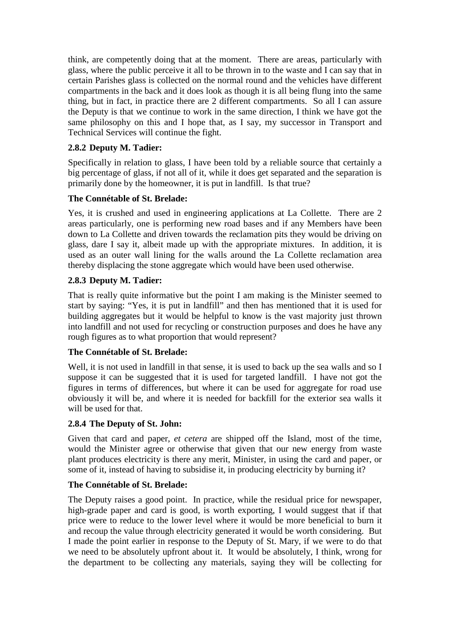think, are competently doing that at the moment. There are areas, particularly with glass, where the public perceive it all to be thrown in to the waste and I can say that in certain Parishes glass is collected on the normal round and the vehicles have different compartments in the back and it does look as though it is all being flung into the same thing, but in fact, in practice there are 2 different compartments. So all I can assure the Deputy is that we continue to work in the same direction, I think we have got the same philosophy on this and I hope that, as I say, my successor in Transport and Technical Services will continue the fight.

# **2.8.2 Deputy M. Tadier:**

Specifically in relation to glass, I have been told by a reliable source that certainly a big percentage of glass, if not all of it, while it does get separated and the separation is primarily done by the homeowner, it is put in landfill. Is that true?

## **The Connétable of St. Brelade:**

Yes, it is crushed and used in engineering applications at La Collette. There are 2 areas particularly, one is performing new road bases and if any Members have been down to La Collette and driven towards the reclamation pits they would be driving on glass, dare I say it, albeit made up with the appropriate mixtures. In addition, it is used as an outer wall lining for the walls around the La Collette reclamation area thereby displacing the stone aggregate which would have been used otherwise.

# **2.8.3 Deputy M. Tadier:**

That is really quite informative but the point I am making is the Minister seemed to start by saying: "Yes, it is put in landfill" and then has mentioned that it is used for building aggregates but it would be helpful to know is the vast majority just thrown into landfill and not used for recycling or construction purposes and does he have any rough figures as to what proportion that would represent?

## **The Connétable of St. Brelade:**

Well, it is not used in landfill in that sense, it is used to back up the sea walls and so I suppose it can be suggested that it is used for targeted landfill. I have not got the figures in terms of differences, but where it can be used for aggregate for road use obviously it will be, and where it is needed for backfill for the exterior sea walls it will be used for that.

## **2.8.4 The Deputy of St. John:**

Given that card and paper, *et cetera* are shipped off the Island, most of the time, would the Minister agree or otherwise that given that our new energy from waste plant produces electricity is there any merit, Minister, in using the card and paper, or some of it, instead of having to subsidise it, in producing electricity by burning it?

## **The Connétable of St. Brelade:**

The Deputy raises a good point. In practice, while the residual price for newspaper, high-grade paper and card is good, is worth exporting, I would suggest that if that price were to reduce to the lower level where it would be more beneficial to burn it and recoup the value through electricity generated it would be worth considering. But I made the point earlier in response to the Deputy of St. Mary, if we were to do that we need to be absolutely upfront about it. It would be absolutely, I think, wrong for the department to be collecting any materials, saying they will be collecting for